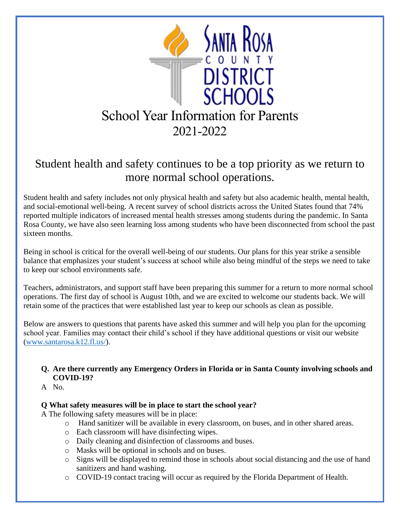

# Student health and safety continues to be a top priority as we return to more normal school operations.

Student health and safety includes not only physical health and safety but also academic health, mental health, and social-emotional well-being. A recent survey of school districts across the United States found that 74% reported multiple indicators of increased mental health stresses among students during the pandemic. In Santa Rosa County, we have also seen learning loss among students who have been disconnected from school the past sixteen months.

Being in school is critical for the overall well-being of our students. Our plans for this year strike a sensible balance that emphasizes your student's success at school while also being mindful of the steps we need to take to keep our school environments safe.

Teachers, administrators, and support staff have been preparing this summer for a return to more normal school operations. The first day of school is August 10th, and we are excited to welcome our students back. We will retain some of the practices that were established last year to keep our schools as clean as possible.

Below are answers to questions that parents have asked this summer and will help you plan for the upcoming school year. Families may contact their child's school if they have additional questions or visit our website [\(www.santarosa.k12.fl.us/\)](https://www.santarosa.k12.fl.us/).

### **Q. Are there currently any Emergency Orders in Florida or in Santa County involving schools and COVID-19?**

A No.

### **Q What safety measures will be in place to start the school year?**

A The following safety measures will be in place:

- o Hand sanitizer will be available in every classroom, on buses, and in other shared areas.
- o Each classroom will have disinfecting wipes.
- o Daily cleaning and disinfection of classrooms and buses.
- o Masks will be optional in schools and on buses.
- o Signs will be displayed to remind those in schools about social distancing and the use of hand sanitizers and hand washing.
- o COVID-19 contact tracing will occur as required by the Florida Department of Health.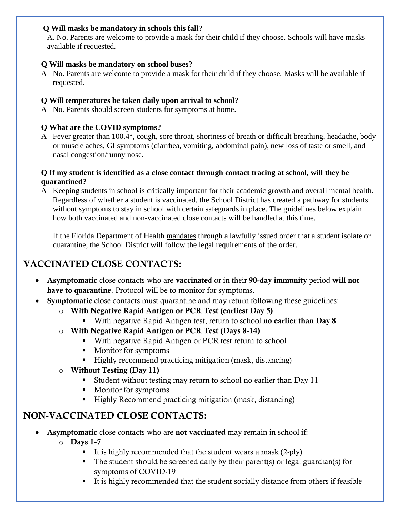### **Q Will masks be mandatory in schools this fall?**

A. No. Parents are welcome to provide a mask for their child if they choose. Schools will have masks available if requested.

#### **Q Will masks be mandatory on school buses?**

A No. Parents are welcome to provide a mask for their child if they choose. Masks will be available if requested.

### **Q Will temperatures be taken daily upon arrival to school?**

A No. Parents should screen students for symptoms at home.

### **Q What are the COVID symptoms?**

A Fever greater than 100.4°, cough, sore throat, shortness of breath or difficult breathing, headache, body or muscle aches, GI symptoms (diarrhea, vomiting, abdominal pain), new loss of taste or smell, and nasal congestion/runny nose.

### **Q If my student is identified as a close contact through contact tracing at school, will they be quarantined?**

A Keeping students in school is critically important for their academic growth and overall mental health. Regardless of whether a student is vaccinated, the School District has created a pathway for students without symptoms to stay in school with certain safeguards in place. The guidelines below explain how both vaccinated and non-vaccinated close contacts will be handled at this time.

If the Florida Department of Health mandates through a lawfully issued order that a student isolate or quarantine, the School District will follow the legal requirements of the order.

# VACCINATED CLOSE CONTACTS:

- Asymptomatic close contacts who are vaccinated or in their 90-day immunity period will not have to quarantine. Protocol will be to monitor for symptoms.
- **Symptomatic** close contacts must quarantine and may return following these guidelines:
	- o With Negative Rapid Antigen or PCR Test (earliest Day 5)
		- With negative Rapid Antigen test, return to school **no earlier than Day 8**
	- o With Negative Rapid Antigen or PCR Test (Days 8-14)
		- With negative Rapid Antigen or PCR test return to school
		- Monitor for symptoms
		- Highly recommend practicing mitigation (mask, distancing)
	- $\circ$  Without Testing (Day 11)
		- Student without testing may return to school no earlier than Day 11
		- Monitor for symptoms
		- Highly Recommend practicing mitigation (mask, distancing)

## NON-VACCINATED CLOSE CONTACTS:

- Asymptomatic close contacts who are not vaccinated may remain in school if:
	- $\circ$  Days 1-7
		- It is highly recommended that the student wears a mask  $(2-p)y$
		- The student should be screened daily by their parent(s) or legal guardian(s) for symptoms of COVID-19
		- It is highly recommended that the student socially distance from others if feasible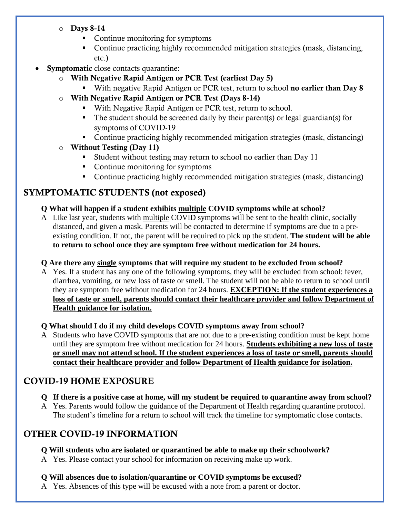- $\circ$  Days 8-14
	- Continue monitoring for symptoms
	- Continue practicing highly recommended mitigation strategies (mask, distancing, etc.)
- **Symptomatic** close contacts quarantine:
	- o With Negative Rapid Antigen or PCR Test (earliest Day 5)
		- With negative Rapid Antigen or PCR test, return to school **no earlier than Day 8**
	- o With Negative Rapid Antigen or PCR Test (Days 8-14)
		- With Negative Rapid Antigen or PCR test, return to school.
		- $\blacksquare$  The student should be screened daily by their parent(s) or legal guardian(s) for symptoms of COVID-19
		- Continue practicing highly recommended mitigation strategies (mask, distancing)
	- o Without Testing (Day 11)
		- Student without testing may return to school no earlier than Day 11
		- Continue monitoring for symptoms
		- Continue practicing highly recommended mitigation strategies (mask, distancing)

# SYMPTOMATIC STUDENTS (not exposed)

### **Q What will happen if a student exhibits multiple COVID symptoms while at school?**

A Like last year, students with multiple COVID symptoms will be sent to the health clinic, socially distanced, and given a mask. Parents will be contacted to determine if symptoms are due to a preexisting condition. If not, the parent will be required to pick up the student. **The student will be able to return to school once they are symptom free without medication for 24 hours.**

### **Q Are there any single symptoms that will require my student to be excluded from school?**

A Yes. If a student has any one of the following symptoms, they will be excluded from school: fever, diarrhea, vomiting, or new loss of taste or smell. The student will not be able to return to school until they are symptom free without medication for 24 hours. **EXCEPTION: If the student experiences a loss of taste or smell, parents should contact their healthcare provider and follow Department of Health guidance for isolation.** 

### **Q What should I do if my child develops COVID symptoms away from school?**

A Students who have COVID symptoms that are not due to a pre-existing condition must be kept home until they are symptom free without medication for 24 hours. **Students exhibiting a new loss of taste or smell may not attend school. If the student experiences a loss of taste or smell, parents should contact their healthcare provider and follow Department of Health guidance for isolation.** 

# COVID-19 HOME EXPOSURE

- **Q If there is a positive case at home, will my student be required to quarantine away from school?**
- A Yes. Parents would follow the guidance of the Department of Health regarding quarantine protocol. The student's timeline for a return to school will track the timeline for symptomatic close contacts.

# OTHER COVID-19 INFORMATION

### **Q Will students who are isolated or quarantined be able to make up their schoolwork?**

A Yes. Please contact your school for information on receiving make up work.

### **Q Will absences due to isolation/quarantine or COVID symptoms be excused?**

A Yes. Absences of this type will be excused with a note from a parent or doctor.